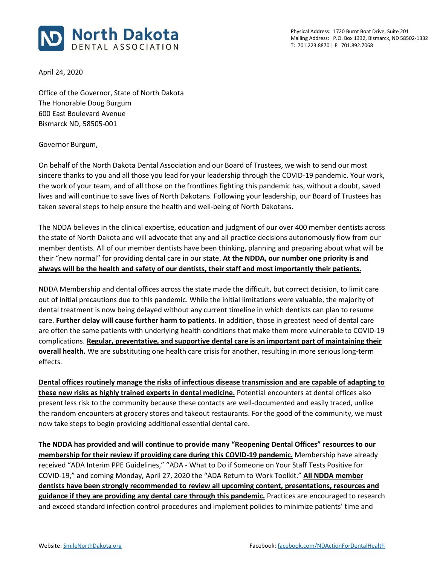

April 24, 2020

Office of the Governor, State of North Dakota The Honorable Doug Burgum 600 East Boulevard Avenue Bismarck ND, 58505-001

Governor Burgum,

On behalf of the North Dakota Dental Association and our Board of Trustees, we wish to send our most sincere thanks to you and all those you lead for your leadership through the COVID-19 pandemic. Your work, the work of your team, and of all those on the frontlines fighting this pandemic has, without a doubt, saved lives and will continue to save lives of North Dakotans. Following your leadership, our Board of Trustees has taken several steps to help ensure the health and well-being of North Dakotans.

The NDDA believes in the clinical expertise, education and judgment of our over 400 member dentists across the state of North Dakota and will advocate that any and all practice decisions autonomously flow from our member dentists. All of our member dentists have been thinking, planning and preparing about what will be their "new normal" for providing dental care in our state. **At the NDDA, our number one priority is and always will be the health and safety of our dentists, their staff and most importantly their patients.**

NDDA Membership and dental offices across the state made the difficult, but correct decision, to limit care out of initial precautions due to this pandemic. While the initial limitations were valuable, the majority of dental treatment is now being delayed without any current timeline in which dentists can plan to resume care. **Further delay will cause further harm to patients.** In addition, those in greatest need of dental care are often the same patients with underlying health conditions that make them more vulnerable to COVID-19 complications. **Regular, preventative, and supportive dental care is an important part of maintaining their overall health.** We are substituting one health care crisis for another, resulting in more serious long-term effects.

**Dental offices routinely manage the risks of infectious disease transmission and are capable of adapting to these new risks as highly trained experts in dental medicine.** Potential encounters at dental offices also present less risk to the community because these contacts are well-documented and easily traced, unlike the random encounters at grocery stores and takeout restaurants. For the good of the community, we must now take steps to begin providing additional essential dental care.

**The NDDA has provided and will continue to provide many "Reopening Dental Offices" resources to our membership for their review if providing care during this COVID-19 pandemic.** Membership have already received "ADA Interim PPE Guidelines," "ADA - What to Do if Someone on Your Staff Tests Positive for COVID-19," and coming Monday, April 27, 2020 the "ADA Return to Work Toolkit." **All NDDA member dentists have been strongly recommended to review all upcoming content, presentations, resources and guidance if they are providing any dental care through this pandemic.** Practices are encouraged to research and exceed standard infection control procedures and implement policies to minimize patients' time and